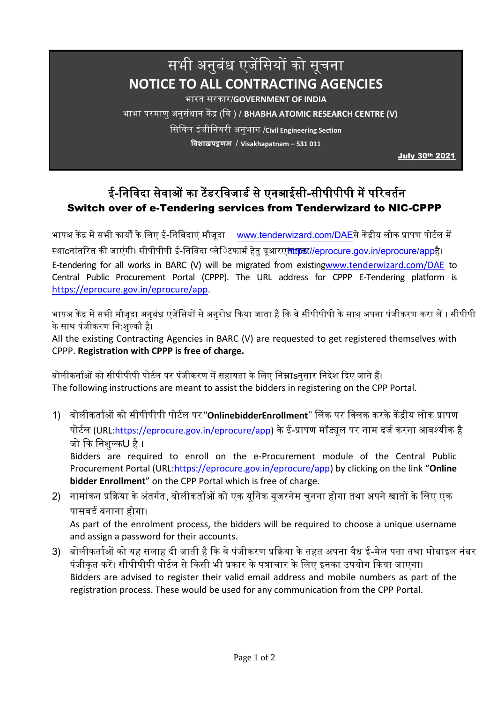## सभी अनुबंध एजेंनसयों को सूचना **NOTICE TO ALL CONTRACTING AGENCIES**

भारर् सरकार/**GOVERNMENT OF INDIA**

भाभा परमाणु अनुसंधान कें द्र (वि ) / **BHABHA ATOMIC RESEARCH CENTRE (V)** 

नसनिि इंजीननयरी अनुभाग /**Civil Engineering Section**

**विशाखपट्टणम** / **Visakhapatnam – 531 011**

July 30th 2021

## ई-निविदा सेवाओं का टेंडरविजार्ड से एनआईसी-सीपीपीपी में परिवर्तन Switch over of e-Tendering services from Tenderwizard to NIC-CPPP

भापअ केंद्र में सभी कार्यों के लिए ई-निविदाएं मौजूदा [www.tenderwizard.com/DAE](http://www.tenderwizard.com/DAE)से केंद्रीय लोक प्रापण पोर्टल में स्थाcनांतरित की जाएंगी। सीपीपीपी ई-निविदा प्लेिटफार्म हेत् यूआरए<mark>ल्लाक्ष्का//eprocure.gov.in/eprocure/app</mark>है। E-tendering for all works in BARC (V) will be migrated from existin[gwww.tenderwizard.com/DAE](http://www.tenderwizard.com/DAE) to Central Public Procurement Portal (CPPP). The URL address for CPPP E-Tendering platform is [https://eprocure.gov.in/eprocure/app.](https://eprocure.gov.in/eprocure/app)

भापअ केंद्र में सभी मौजूदा अनुबंध एजेंसियों से अनुरोध किया जाता है कि वे सीपीपीपी के साथ अपना पंजीकरण करा लें । सीपीपी के साथ पंजीकरण नि:शल्कौ है।

All the existing Contracting Agencies in BARC (V) are requested to get registered themselves with CPPP. **Registration with CPPP is free of charge.**

बोलीकर्ताओं को सीपीपीपी पोर्टल पर पंजीकरण में सहायता के लिए निम्नाsनुसार निदेश दिए जाते हैं। The following instructions are meant to assist the bidders in registering on the CPP Portal.

1) बोलीकर्ताओं को सीपीपीपी पोर्टल पर "**OnlinebidderEnrollment**" लिंक पर क्लिक करके केंद्रीय लोक प्रापण पोर्टल (URL:https://eprocure.gov.in/eprocure/app) के ई-प्रापण मॉड्यूल पर नाम दर्ज करना आवश्यीक है जो कि निशल्क $\overline{U}$  है ।

Bidders are required to enroll on the e-Procurement module of the Central Public Procurement Portal (URL:https://eprocure.gov.in/eprocure/app) by clicking on the link "**Online bidder Enrollment**" on the CPP Portal which is free of charge.

2) नामांकन प्रक्रिया के अंतर्गत, बोलीकर्ताओं को एक युनिक युजरनेम चुनना होगा तथा अपने खातों के लिए एक पासिडड बनाना होगा।

As part of the enrolment process, the bidders will be required to choose a unique username and assign a password for their accounts.

3) बोलीकर्ताओं को यह सलाह दी जाती है कि वे पंजीकरण प्रक्रिया के तहत अपना वैध ई-मेल पता तथा मोबाइल नंबर पंजीकृत करें। सीपीपीपी पोर्टल से किसी भी प्रकार के पत्राचार के लिए इनका उपयोग किया जाएगा। Bidders are advised to register their valid email address and mobile numbers as part of the registration process. These would be used for any communication from the CPP Portal.